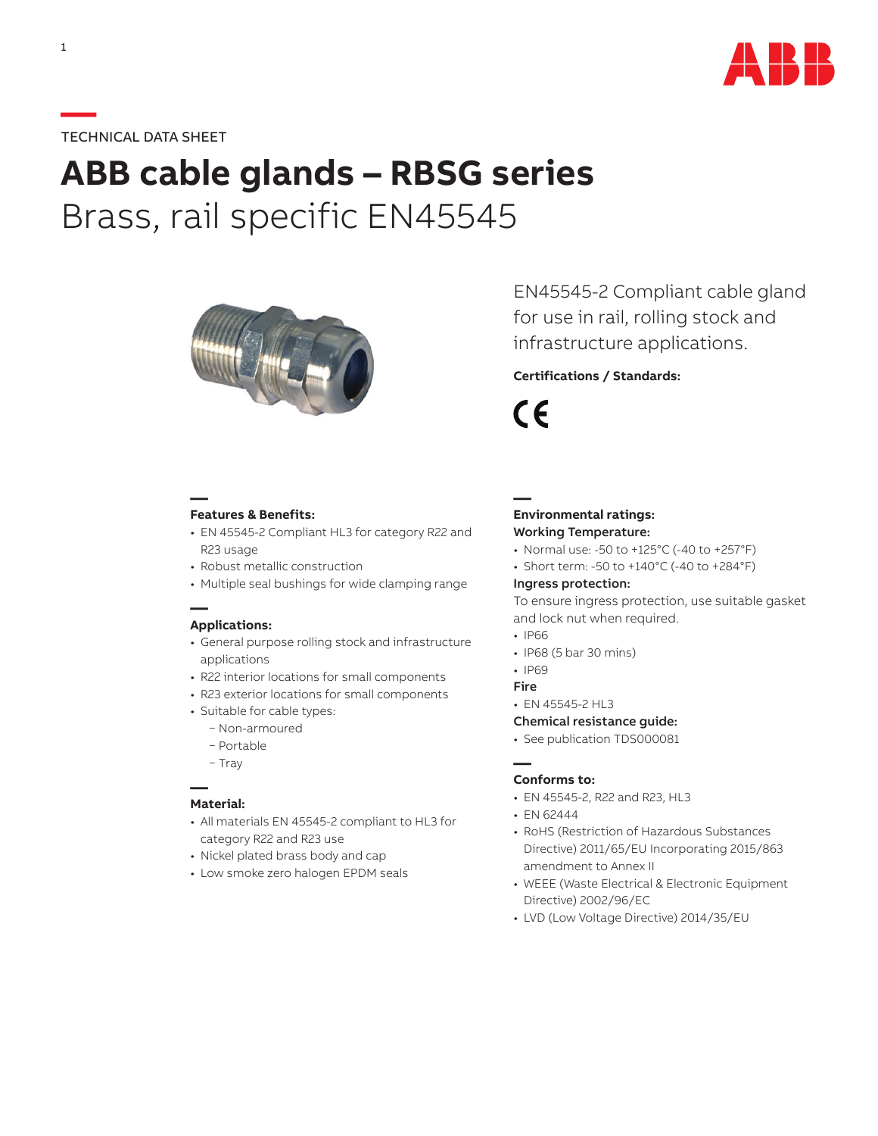

# **—**TECHNICAL DATA SHEET

# **ABB cable glands – RBSG series** Brass, rail specific EN45545



**— Features & Benefits:**

- EN 45545-2 Compliant HL3 for category R22 and R23 usage
- Robust metallic construction
- Multiple seal bushings for wide clamping range

## **— Applications:**

- General purpose rolling stock and infrastructure applications
- R22 interior locations for small components
- R23 exterior locations for small components
- Suitable for cable types:
	- − Non-armoured
	- − Portable
	- − Tray

# **— Material:**

- All materials EN 45545-2 compliant to HL3 for category R22 and R23 use
- Nickel plated brass body and cap
- Low smoke zero halogen EPDM seals

EN45545-2 Compliant cable gland for use in rail, rolling stock and infrastructure applications.

# **Certifications / Standards:**

CE

**—**

## **Environmental ratings:** Working Temperature:

- Normal use: -50 to +125°C (-40 to +257°F)
- Short term: -50 to +140°C (-40 to +284°F)

#### Ingress protection:

To ensure ingress protection, use suitable gasket and lock nut when required.

- IP66
- IP68 (5 bar 30 mins)
- IP69
- Fire
- EN 45545-2 HL3

#### Chemical resistance guide:

• See publication TDS000081

## **— Conforms to:**

- EN 45545-2, R22 and R23, HL3
- EN 62444
- RoHS (Restriction of Hazardous Substances Directive) 2011/65/EU Incorporating 2015/863 amendment to Annex II
- WEEE (Waste Electrical & Electronic Equipment Directive) 2002/96/EC
- LVD (Low Voltage Directive) 2014/35/EU